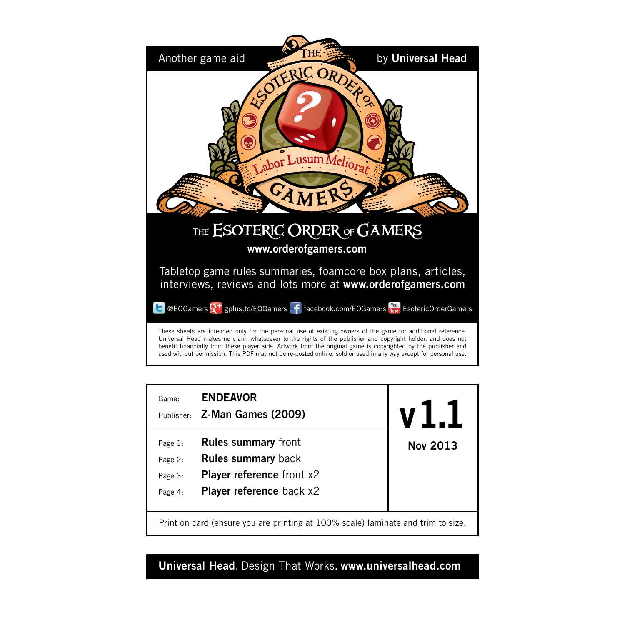



# **Universal Head**. Design That Works. **www.universalhead.com**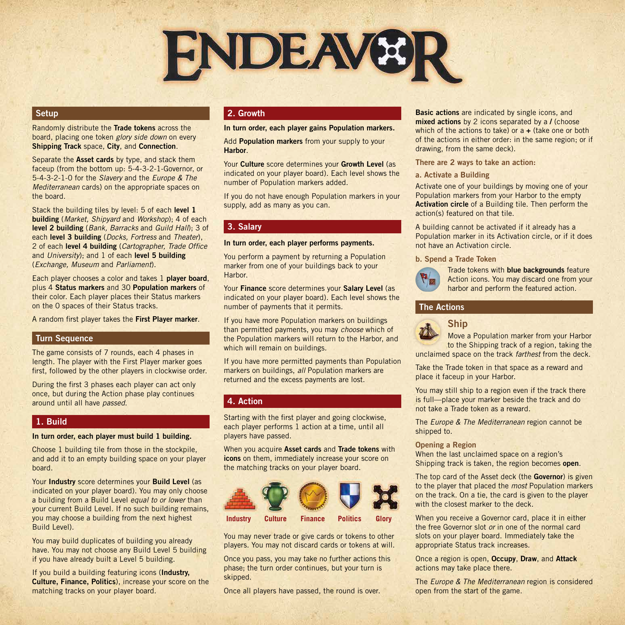

# **Setup**

Randomly distribute the **Trade tokens** across the board, placing one token *glory side down* on every **Shipping Track** space, **City**, and **Connection**.

Separate the **Asset cards** by type, and stack them faceup (from the bottom up: 5-4-3-2-1-Governor, or 5-4-3-2-1-0 for the *Slavery* and the *Europe & The Mediterranean* cards) on the appropriate spaces on the board.

Stack the building tiles by level: 5 of each **level 1 building** (*Market, Shipyard* and *Workshop*); 4 of each **level 2 building** (*Bank, Barracks* and *Guild Hall*); 3 of each **level 3 building** (*Docks, Fortress* and *Theater*), 2 of each **level 4 building** (*Cartographer, Trade Office*  and *University*); and 1 of each **level 5 building**  (*Exchange, Museum* and *Parliament*).

Each player chooses a color and takes 1 **player board**, plus 4 **Status markers** and 30 **Population markers** of their color. Each player places their Status markers on the 0 spaces of their Status tracks.

A random first player takes the **First Player marker**.

#### **Turn Sequence**

The game consists of 7 rounds, each 4 phases in length. The player with the First Player marker goes first, followed by the other players in clockwise order.

During the first 3 phases each player can act only once, but during the Action phase play continues around until all have *passed*.

## **1. Build**

**In turn order, each player must build 1 building.**

Choose 1 building tile from those in the stockpile. and add it to an empty building space on your player board.

Your **Industry** score determines your **Build Level** (as indicated on your player board). You may only choose a building from a Build Level *equal to or lower* than your current Build Level. If no such building remains, you may choose a building from the next highest Build Level).

You may build duplicates of building you already have. You may not choose any Build Level 5 building if you have already built a Level 5 building.

If you build a building featuring icons (**Industry, Culture, Finance, Politics**), increase your score on the matching tracks on your player board.

# **2. Growth**

#### **In turn order, each player gains Population markers.**

Add **Population markers** from your supply to your **Harbor**.

Your **Culture** score determines your **Growth Level** (as indicated on your player board). Each level shows the number of Population markers added.

If you do not have enough Population markers in your supply, add as many as you can.

#### **3. Salary**

#### **In turn order, each player performs payments.**

You perform a payment by returning a Population marker from one of your buildings back to your Harbor.

Your **Finance** score determines your **Salary Level** (as indicated on your player board). Each level shows the number of payments that it permits.

If you have more Population markers on buildings than permitted payments, you may *choose* which of the Population markers will return to the Harbor, and which will remain on buildings.

If you have more permitted payments than Population markers on buildings, *all* Population markers are returned and the excess payments are lost.

# **4. Action**

Starting with the first player and going clockwise, each player performs 1 action at a time, until all players have passed.

When you acquire **Asset cards** and **Trade tokens** with **icons** on them, immediately increase your score on the matching tracks on your player board.



You may never trade or give cards or tokens to other players. You may not discard cards or tokens at will.

Once you pass, you may take no further actions this phase; the turn order continues, but your turn is skipped.

Once all players have passed, the round is over.

**Basic actions** are indicated by single icons, and **mixed actions** by 2 icons separated by a **/** (choose which of the actions to take) or a **+** (take one or both of the actions in either order: in the same region; or if drawing, from the same deck).

#### **There are 2 ways to take an action:**

#### **a. Activate a Building**

Activate one of your buildings by moving one of your Population markers from your Harbor to the empty **Activation circle** of a Building tile. Then perform the action(s) featured on that tile.

A building cannot be activated if it already has a Population marker in its Activation circle, or if it does not have an Activation circle.

#### **b. Spend a Trade Token**

**Ship**



Trade tokens with **blue backgrounds** feature Action icons. You may discard one from your harbor and perform the featured action.

# **The Actions**



Move a Population marker from your Harbor

to the Shipping track of a region, taking the unclaimed space on the track *farthest* from the deck.

Take the Trade token in that space as a reward and place it faceup in your Harbor.

You may still ship to a region even if the track there is full—place your marker beside the track and do not take a Trade token as a reward.

The *Europe & The Mediterranean* region cannot be shipped to.

#### **Opening a Region**

When the last unclaimed space on a region's Shipping track is taken, the region becomes **open**.

The top card of the Asset deck (the **Governor**) is given to the player that placed the *most* Population markers on the track. On a tie, the card is given to the player with the closest marker to the deck.

When you receive a Governor card, place it in either the free Governor slot *or* in one of the normal card slots on your player board. Immediately take the appropriate Status track increases.

Once a region is open, **Occupy**, **Draw**, and **Attack** actions may take place there.

The *Europe & The Mediterranean* region is considered open from the start of the game.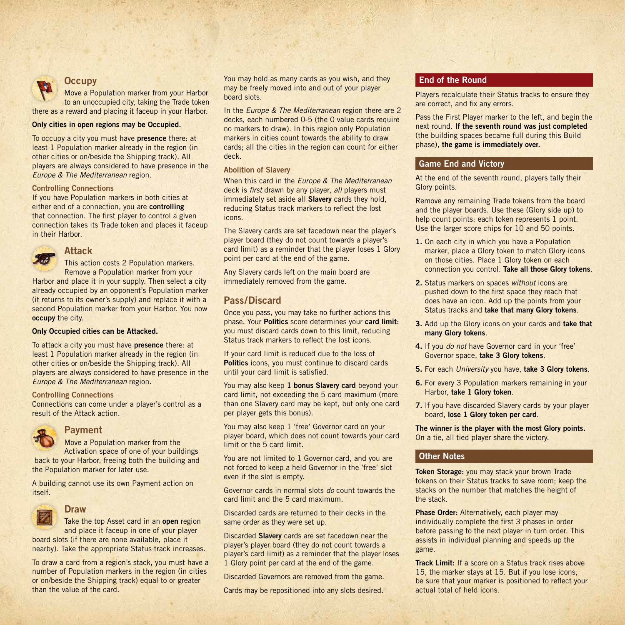

# **Occupy**

Move a Population marker from your Harbor to an unoccupied city, taking the Trade token there as a reward and placing it faceup in your Harbor.

#### **Only cities in open regions may be Occupied.**

To occupy a city you must have **presence** there: at least 1 Population marker already in the region (in other cities or on/beside the Shipping track). All players are always considered to have presence in the *Europe & The Mediterranean* region.

#### **Controlling Connections**

If you have Population markers in both cities at either end of a connection, you are **controlling** that connection. The first player to control a given connection takes its Trade token and places it faceup in their Harbor.



# **Attack**

This action costs 2 Population markers. Remove a Population marker from your

Harbor and place it in your supply. Then select a city already occupied by an opponent's Population marker (it returns to its owner's supply) and replace it with a second Population marker from your Harbor. You now **occupy** the city.

#### **Only Occupied cities can be Attacked.**

To attack a city you must have **presence** there: at least 1 Population marker already in the region (in other cities or on/beside the Shipping track). All players are always considered to have presence in the *Europe & The Mediterranean* region.

#### **Controlling Connections**

Connections can come under a player's control as a result of the Attack action.



# **Payment**

Move a Population marker from the

Activation space of one of your buildings back to your Harbor, freeing both the building and the Population marker for later use.

A building cannot use its own Payment action on itself.



## **Draw**

Take the top Asset card in an **open** region and place it faceup in one of your player

board slots (if there are none available, place it nearby). Take the appropriate Status track increases.

To draw a card from a region's stack, you must have a number of Population markers in the region (in cities or on/beside the Shipping track) equal to or greater than the value of the card.

You may hold as many cards as you wish, and they may be freely moved into and out of your player board slots.

In the *Europe & The Mediterranean* region there are 2 decks, each numbered 0-5 (the 0 value cards require no markers to draw). In this region only Population markers in cities count towards the ability to draw cards; all the cities in the region can count for either deck.

#### **Abolition of Slavery**

When this card in the *Europe & The Mediterranean*  deck is *first* drawn by any player, *all* players must immediately set aside all **Slavery** cards they hold, reducing Status track markers to reflect the lost icons.

The Slavery cards are set facedown near the player's player board (they do not count towards a player's card limit) as a reminder that the player loses 1 Glory point per card at the end of the game.

Any Slavery cards left on the main board are immediately removed from the game.

# **Pass/Discard**

Once you pass, you may take no further actions this phase. Your **Politics** score determines your **card limit**: you must discard cards down to this limit, reducing Status track markers to reflect the lost icons.

If your card limit is reduced due to the loss of **Politics** icons, you must continue to discard cards until your card limit is satisfied.

You may also keep **1 bonus Slavery card** beyond your card limit, not exceeding the 5 card maximum (more than one Slavery card may be kept, but only one card per player gets this bonus).

You may also keep 1 'free' Governor card on your player board, which does not count towards your card limit or the 5 card limit.

You are not limited to 1 Governor card, and you are not forced to keep a held Governor in the 'free' slot even if the slot is empty.

Governor cards in normal slots *do* count towards the card limit and the 5 card maximum.

Discarded cards are returned to their decks in the same order as they were set up.

Discarded **Slavery** cards are set facedown near the player's player board (they do not count towards a player's card limit) as a reminder that the player loses 1 Glory point per card at the end of the game.

Discarded Governors are removed from the game.

Cards may be repositioned into any slots desired.

#### **End of the Round**

Players recalculate their Status tracks to ensure they are correct, and fix any errors.

Pass the First Player marker to the left, and begin the next round. **If the seventh round was just completed**  (the building spaces became full during this Build phase), **the game is immediately over.** 

# **Game End and Victory**

At the end of the seventh round, players tally their Glory points.

Remove any remaining Trade tokens from the board and the player boards. Use these (Glory side up) to help count points; each token represents 1 point. Use the larger score chips for 10 and 50 points.

- **1.** On each city in which you have a Population marker, place a Glory token to match Glory icons on those cities. Place 1 Glory token on each connection you control. **Take all those Glory tokens**.
- **2.** Status markers on spaces *without* icons are pushed down to the first space they reach that does have an icon. Add up the points from your Status tracks and **take that many Glory tokens**.
- **3.** Add up the Glory icons on your cards and **take that many Glory tokens**.
- **4.** If you *do not* have Governor card in your 'free' Governor space, **take 3 Glory tokens**.
- **5.** For each *University* you have, **take 3 Glory tokens**.
- **6.** For every 3 Population markers remaining in your Harbor, **take 1 Glory token**.
- **7.** If you have discarded Slavery cards by your player board, **lose 1 Glory token per card**.

**The winner is the player with the most Glory points.** On a tie, all tied player share the victory.

# **Other Notes**

**Token Storage:** you may stack your brown Trade tokens on their Status tracks to save room; keep the stacks on the number that matches the height of the stack.

**Phase Order:** Alternatively, each player may individually complete the first 3 phases in order before passing to the next player in turn order. This assists in individual planning and speeds up the game.

**Track Limit:** If a score on a Status track rises above 15, the marker stays at 15. But if you lose icons, be sure that your marker is positioned to reflect your actual total of held icons.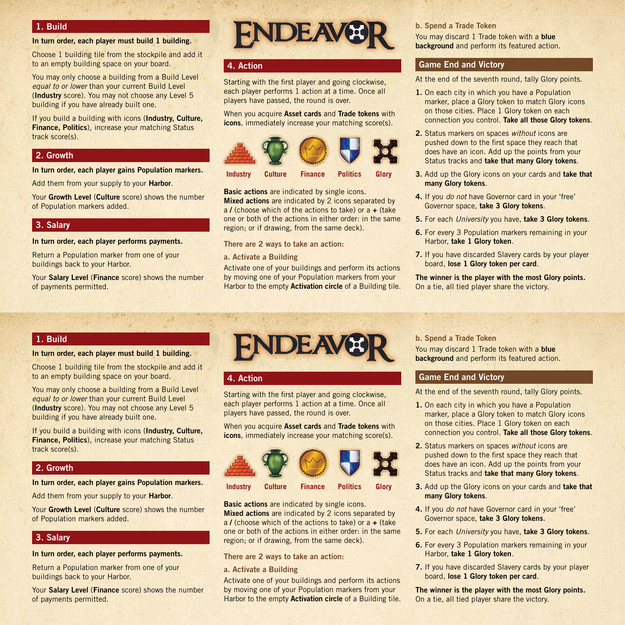# **1. Build**

#### **In turn order, each player must build 1 building.**

Choose 1 building tile from the stockpile and add it to an empty building space on your board.

You may only choose a building from a Build Level *equal to or lower* than your current Build Level (**Industry** score). You may not choose any Level 5 building if you have already built one.

If you build a building with icons (**Industry, Culture, Finance, Politics**), increase your matching Status track score(s).

#### **2. Growth**

#### **In turn order, each player gains Population markers.**

Add them from your supply to your **Harbor**.

Your **Growth Level** (**Culture** score) shows the number of Population markers added.

#### **3. Salary**

#### **In turn order, each player performs payments.**

Return a Population marker from one of your buildings back to your Harbor.

Your **Salary Level** (**Finance** score) shows the number of payments permitted.

# **FNDEAVE**

### **4. Action**

Starting with the first player and going clockwise, each player performs 1 action at a time. Once all players have passed, the round is over.

When you acquire **Asset cards** and **Trade tokens** with **icons**, immediately increase your matching score(s).



**Basic actions** are indicated by single icons. **Mixed actions** are indicated by 2 icons separated by a **/** (choose which of the actions to take) or a **+** (take one or both of the actions in either order: in the same region: or if drawing, from the same deck).

**There are 2 ways to take an action:**

**a. Activate a Building**

Activate one of your buildings and perform its actions by moving one of your Population markers from your Harbor to the empty **Activation circle** of a Building tile. **b. Spend a Trade Token** You may discard 1 Trade token with a **blue background** and perform its featured action

#### **Game End and Victory**

At the end of the seventh round, tally Glory points.

- **1.** On each city in which you have a Population marker, place a Glory token to match Glory icons on those cities. Place 1 Glory token on each connection you control. **Take all those Glory tokens**.
- **2.** Status markers on spaces *without* icons are pushed down to the first space they reach that does have an icon. Add up the points from your Status tracks and **take that many Glory tokens**.
- **3.** Add up the Glory icons on your cards and **take that many Glory tokens**.
- **4.** If you *do not* have Governor card in your 'free' Governor space, **take 3 Glory tokens**.
- **5.** For each *University* you have, **take 3 Glory tokens**.
- **6.** For every 3 Population markers remaining in your Harbor, **take 1 Glory token**.
- **7.** If you have discarded Slavery cards by your player board, **lose 1 Glory token per card**.

**The winner is the player with the most Glory points.** On a tie, all tied player share the victory.

# **1. Build**

#### **In turn order, each player must build 1 building.**

Choose 1 building tile from the stockpile and add it to an empty building space on your board.

You may only choose a building from a Build Level *equal to or lower* than your current Build Level (**Industry** score). You may not choose any Level 5 building if you have already built one.

If you build a building with icons (**Industry, Culture, Finance, Politics**), increase your matching Status track score(s).

#### **2. Growth**

#### **In turn order, each player gains Population markers.**

Add them from your supply to your **Harbor**.

Your **Growth Level** (**Culture** score) shows the number of Population markers added.

#### **3. Salary**

#### **In turn order, each player performs payments.**

Return a Population marker from one of your buildings back to your Harbor.

Your **Salary Level** (**Finance** score) shows the number of payments permitted.



# **4. Action**

Starting with the first player and going clockwise, each player performs 1 action at a time. Once all players have passed, the round is over.

When you acquire **Asset cards** and **Trade tokens** with **icons**, immediately increase your matching score(s).





**Basic actions** are indicated by single icons. **Mixed actions** are indicated by 2 icons separated by a **/** (choose which of the actions to take) or a **+** (take one or both of the actions in either order: in the same region; or if drawing, from the same deck).

# **There are 2 ways to take an action:**

**a. Activate a Building**

Activate one of your buildings and perform its actions by moving one of your Population markers from your Harbor to the empty **Activation circle** of a Building tile.

# **b. Spend a Trade Token**

You may discard 1 Trade token with a **blue background** and perform its featured action.

#### **Game End and Victory**

At the end of the seventh round, tally Glory points.

- **1.** On each city in which you have a Population marker, place a Glory token to match Glory icons on those cities. Place 1 Glory token on each connection you control. **Take all those Glory tokens**.
- **2.** Status markers on spaces *without* icons are pushed down to the first space they reach that does have an icon. Add up the points from your Status tracks and **take that many Glory tokens**.
- **3.** Add up the Glory icons on your cards and **take that many Glory tokens**.
- **4.** If you *do not* have Governor card in your 'free' Governor space, **take 3 Glory tokens**.
- **5.** For each *University* you have, **take 3 Glory tokens**.
- **6.** For every 3 Population markers remaining in your Harbor, **take 1 Glory token**.
- **7.** If you have discarded Slavery cards by your player board, **lose 1 Glory token per card**.

**The winner is the player with the most Glory points.** On a tie, all tied player share the victory.